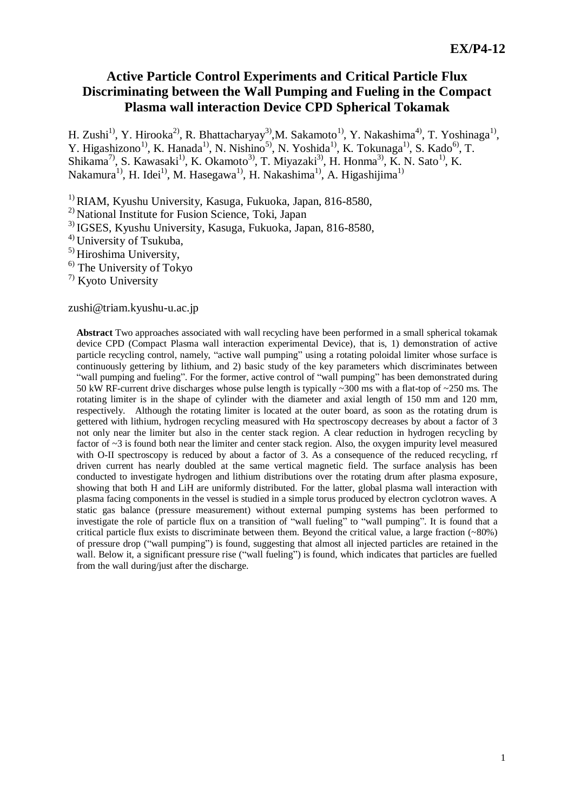# **Active Particle Control Experiments and Critical Particle Flux Discriminating between the Wall Pumping and Fueling in the Compact Plasma wall interaction Device CPD Spherical Tokamak**

H. Zushi<sup>1)</sup>, Y. Hirooka<sup>2)</sup>, R. Bhattacharyay<sup>3)</sup>, M. Sakamoto<sup>1)</sup>, Y. Nakashima<sup>4)</sup>, T. Yoshinaga<sup>1)</sup>, Y. Higashizono<sup>1)</sup>, K. Hanada<sup>1)</sup>, N. Nishino<sup>5)</sup>, N. Yoshida<sup>1)</sup>, K. Tokunaga<sup>1)</sup>, S. Kado<sup>6)</sup>, T. Shikama<sup>7)</sup>, S. Kawasaki<sup>1)</sup>, K. Okamoto<sup>3)</sup>, T. Miyazaki<sup>3)</sup>, H. Honma<sup>3)</sup>, K. N. Sato<sup>1)</sup>, K. Nakamura<sup>1)</sup>, H. Idei<sup>1)</sup>, M. Hasegawa<sup>1)</sup>, H. Nakashima<sup>1)</sup>, A. Higashijima<sup>1)</sup>

1) RIAM, Kyushu University, Kasuga, Fukuoka, Japan, 816-8580,

2) National Institute for Fusion Science, Toki, Japan

3) IGSES, Kyushu University, Kasuga, Fukuoka, Japan, 816-8580,

4) University of Tsukuba,

5) Hiroshima University,

 $<sup>6)</sup>$  The University of Tokyo</sup>

7) Kyoto University

zushi@triam.kyushu-u.ac.jp

**Abstract** Two approaches associated with wall recycling have been performed in a small spherical tokamak device CPD (Compact Plasma wall interaction experimental Device), that is, 1) demonstration of active particle recycling control, namely, "active wall pumping" using a rotating poloidal limiter whose surface is continuously gettering by lithium, and 2) basic study of the key parameters which discriminates between "wall pumping and fueling". For the former, active control of "wall pumping" has been demonstrated during 50 kW RF-current drive discharges whose pulse length is typically ~300 ms with a flat-top of ~250 ms. The rotating limiter is in the shape of cylinder with the diameter and axial length of 150 mm and 120 mm, respectively. Although the rotating limiter is located at the outer board, as soon as the rotating drum is gettered with lithium, hydrogen recycling measured with Hα spectroscopy decreases by about a factor of 3 not only near the limiter but also in the center stack region. A clear reduction in hydrogen recycling by factor of ~3 is found both near the limiter and center stack region. Also, the oxygen impurity level measured with O-II spectroscopy is reduced by about a factor of 3. As a consequence of the reduced recycling, rf driven current has nearly doubled at the same vertical magnetic field. The surface analysis has been conducted to investigate hydrogen and lithium distributions over the rotating drum after plasma exposure, showing that both H and LiH are uniformly distributed. For the latter, global plasma wall interaction with plasma facing components in the vessel is studied in a simple torus produced by electron cyclotron waves. A static gas balance (pressure measurement) without external pumping systems has been performed to investigate the role of particle flux on a transition of "wall fueling" to "wall pumping". It is found that a critical particle flux exists to discriminate between them. Beyond the critical value, a large fraction (~80%) of pressure drop ("wall pumping") is found, suggesting that almost all injected particles are retained in the wall. Below it, a significant pressure rise ("wall fueling") is found, which indicates that particles are fuelled from the wall during/just after the discharge.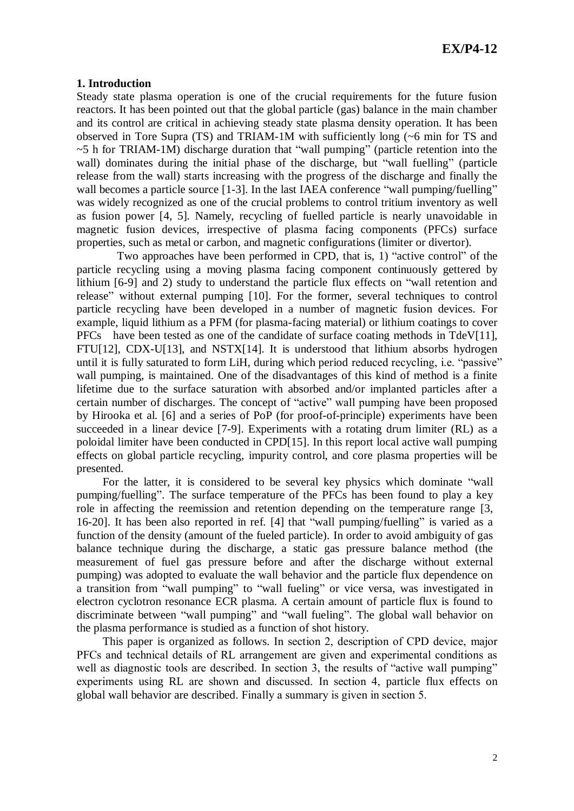## **1. Introduction**

Steady state plasma operation is one of the crucial requirements for the future fusion reactors. It has been pointed out that the global particle (gas) balance in the main chamber and its control are critical in achieving steady state plasma density operation. It has been observed in Tore Supra (TS) and TRIAM-1M with sufficiently long (~6 min for TS and ~5 h for TRIAM-1M) discharge duration that "wall pumping" (particle retention into the wall) dominates during the initial phase of the discharge, but "wall fuelling" (particle release from the wall) starts increasing with the progress of the discharge and finally the wall becomes a particle source [1-3]. In the last IAEA conference "wall pumping/fuelling" was widely recognized as one of the crucial problems to control tritium inventory as well as fusion power [4, 5]. Namely, recycling of fuelled particle is nearly unavoidable in magnetic fusion devices, irrespective of plasma facing components (PFCs) surface properties, such as metal or carbon, and magnetic configurations (limiter or divertor).

Two approaches have been performed in CPD, that is, 1) "active control" of the particle recycling using a moving plasma facing component continuously gettered by lithium [6-9] and 2) study to understand the particle flux effects on "wall retention and release" without external pumping [10]. For the former, several techniques to control particle recycling have been developed in a number of magnetic fusion devices. For example, liquid lithium as a PFM (for plasma-facing material) or lithium coatings to cover PFCs have been tested as one of the candidate of surface coating methods in  $TdeV[11]$ ,  $FTU[12]$ ,  $CDX-U[13]$ , and  $NSTX[14]$ . It is understood that lithium absorbs hydrogen until it is fully saturated to form LiH, during which period reduced recycling, i.e. "passive" wall pumping, is maintained. One of the disadvantages of this kind of method is a finite lifetime due to the surface saturation with absorbed and/or implanted particles after a certain number of discharges. The concept of "active" wall pumping have been proposed by Hirooka et al. [6] and a series of PoP (for proof-of-principle) experiments have been succeeded in a linear device [7-9]. Experiments with a rotating drum limiter (RL) as a poloidal limiter have been conducted in CPD[15]. In this report local active wall pumping effects on global particle recycling, impurity control, and core plasma properties will be presented.

For the latter, it is considered to be several key physics which dominate "wall pumping/fuelling". The surface temperature of the PFCs has been found to play a key role in affecting the reemission and retention depending on the temperature range [3, 16-20]. It has been also reported in ref. [4] that "wall pumping/fuelling" is varied as a function of the density (amount of the fueled particle). In order to avoid ambiguity of gas balance technique during the discharge, a static gas pressure balance method (the measurement of fuel gas pressure before and after the discharge without external pumping) was adopted to evaluate the wall behavior and the particle flux dependence on a transition from "wall pumping" to "wall fueling" or vice versa, was investigated in electron cyclotron resonance ECR plasma. A certain amount of particle flux is found to discriminate between "wall pumping" and "wall fueling". The global wall behavior on the plasma performance is studied as a function of shot history.

This paper is organized as follows. In section 2, description of CPD device, major PFCs and technical details of RL arrangement are given and experimental conditions as well as diagnostic tools are described. In section 3, the results of "active wall pumping" experiments using RL are shown and discussed. In section 4, particle flux effects on global wall behavior are described. Finally a summary is given in section 5.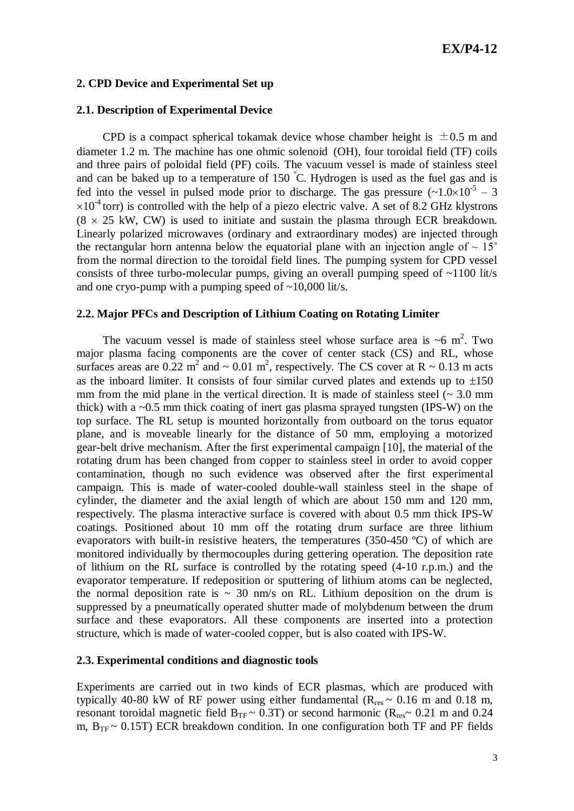## **2. CPD Device and Experimental Set up**

## **2.1. Description of Experimental Device**

CPD is a compact spherical tokamak device whose chamber height is  $\pm 0.5$  m and diameter 1.2 m. The machine has one ohmic solenoid (OH), four toroidal field (TF) coils and three pairs of poloidal field (PF) coils. The vacuum vessel is made of stainless steel and can be baked up to a temperature of 150  $\degree$ C. Hydrogen is used as the fuel gas and is fed into the vessel in pulsed mode prior to discharge. The gas pressure  $(-1.0 \times 10^{-5} - 3$  $\times 10^{-4}$  torr) is controlled with the help of a piezo electric valve. A set of 8.2 GHz klystrons  $(8 \times 25 \text{ kW}, \text{CW})$  is used to initiate and sustain the plasma through ECR breakdown. Linearly polarized microwaves (ordinary and extraordinary modes) are injected through the rectangular horn antenna below the equatorial plane with an injection angle of  $\sim 15^{\circ}$ from the normal direction to the toroidal field lines. The pumping system for CPD vessel consists of three turbo-molecular pumps, giving an overall pumping speed of ~1100 lit/s and one cryo-pump with a pumping speed of  $\sim$ 10,000 lit/s.

## **2.2. Major PFCs and Description of Lithium Coating on Rotating Limiter**

The vacuum vessel is made of stainless steel whose surface area is  $\sim$ 6 m<sup>2</sup>. Two major plasma facing components are the cover of center stack (CS) and RL, whose surfaces areas are  $0.22 \text{ m}^2$  and  $\sim 0.01 \text{ m}^2$ , respectively. The CS cover at R  $\sim 0.13 \text{ m}$  acts as the inboard limiter. It consists of four similar curved plates and extends up to  $\pm 150$ mm from the mid plane in the vertical direction. It is made of stainless steel  $\sim 3.0$  mm thick) with a  $\sim 0.5$  mm thick coating of inert gas plasma sprayed tungsten (IPS-W) on the top surface. The RL setup is mounted horizontally from outboard on the torus equator plane, and is moveable linearly for the distance of 50 mm, employing a motorized gear-belt drive mechanism. After the first experimental campaign [10], the material of the rotating drum has been changed from copper to stainless steel in order to avoid copper contamination, though no such evidence was observed after the first experimental campaign. This is made of water-cooled double-wall stainless steel in the shape of cylinder, the diameter and the axial length of which are about 150 mm and 120 mm, respectively. The plasma interactive surface is covered with about 0.5 mm thick IPS-W coatings. Positioned about 10 mm off the rotating drum surface are three lithium evaporators with built-in resistive heaters, the temperatures (350-450 ºC) of which are monitored individually by thermocouples during gettering operation. The deposition rate of lithium on the RL surface is controlled by the rotating speed (4-10 r.p.m.) and the evaporator temperature. If redeposition or sputtering of lithium atoms can be neglected, the normal deposition rate is  $\sim$  30 nm/s on RL. Lithium deposition on the drum is suppressed by a pneumatically operated shutter made of molybdenum between the drum surface and these evaporators. All these components are inserted into a protection structure, which is made of water-cooled copper, but is also coated with IPS-W.

## **2.3. Experimental conditions and diagnostic tools**

Experiments are carried out in two kinds of ECR plasmas, which are produced with typically 40-80 kW of RF power using either fundamental ( $R_{res} \sim 0.16$  m and 0.18 m, resonant toroidal magnetic field  $B_{TF} \sim 0.3T$ ) or second harmonic ( $R_{res} \sim 0.21$  m and 0.24 m,  $B_{TF} \sim 0.15T$ ) ECR breakdown condition. In one configuration both TF and PF fields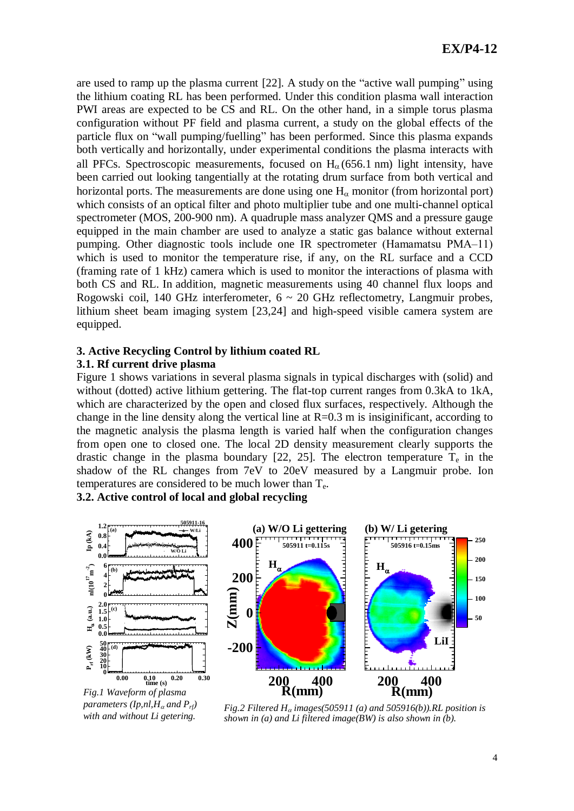are used to ramp up the plasma current [22]. A study on the "active wall pumping" using the lithium coating RL has been performed. Under this condition plasma wall interaction PWI areas are expected to be CS and RL. On the other hand, in a simple torus plasma configuration without PF field and plasma current, a study on the global effects of the particle flux on "wall pumping/fuelling" has been performed. Since this plasma expands both vertically and horizontally, under experimental conditions the plasma interacts with all PFCs. Spectroscopic measurements, focused on  $H<sub>0</sub>$  (656.1 nm) light intensity, have been carried out looking tangentially at the rotating drum surface from both vertical and horizontal ports. The measurements are done using one  $H_{\alpha}$  monitor (from horizontal port) which consists of an optical filter and photo multiplier tube and one multi-channel optical spectrometer (MOS, 200-900 nm). A quadruple mass analyzer QMS and a pressure gauge equipped in the main chamber are used to analyze a static gas balance without external pumping. Other diagnostic tools include one IR spectrometer (Hamamatsu PMA–11) which is used to monitor the temperature rise, if any, on the RL surface and a CCD (framing rate of 1 kHz) camera which is used to monitor the interactions of plasma with both CS and RL. In addition, magnetic measurements using 40 channel flux loops and Rogowski coil, 140 GHz interferometer,  $6 \sim 20$  GHz reflectometry, Langmuir probes, lithium sheet beam imaging system [23,24] and high-speed visible camera system are equipped.

# **3. Active Recycling Control by lithium coated RL**

## **3.1. Rf current drive plasma**

Figure 1 shows variations in several plasma signals in typical discharges with (solid) and without (dotted) active lithium gettering. The flat-top current ranges from 0.3kA to 1kA, which are characterized by the open and closed flux surfaces, respectively. Although the change in the line density along the vertical line at  $R=0.3$  m is insiginificant, according to the magnetic analysis the plasma length is varied half when the configuration changes from open one to closed one. The local 2D density measurement clearly supports the drastic change in the plasma boundary [22, 25]. The electron temperature  $T_e$  in the shadow of the RL changes from 7eV to 20eV measured by a Langmuir probe. Ion temperatures are considered to be much lower than  $T_e$ .

**3.2. Active control of local and global recycling**



*parameters (Ip,nl,H<sub>a</sub> and P<sub>rf</sub>) with and without Li getering.*

*Fig.2 Filtered*  $H_{\alpha}$  *images*(505911 (*a*) *and* 505916(*b*)).*RL position is shown in (a) and Li filtered image(BW) is also shown in (b).*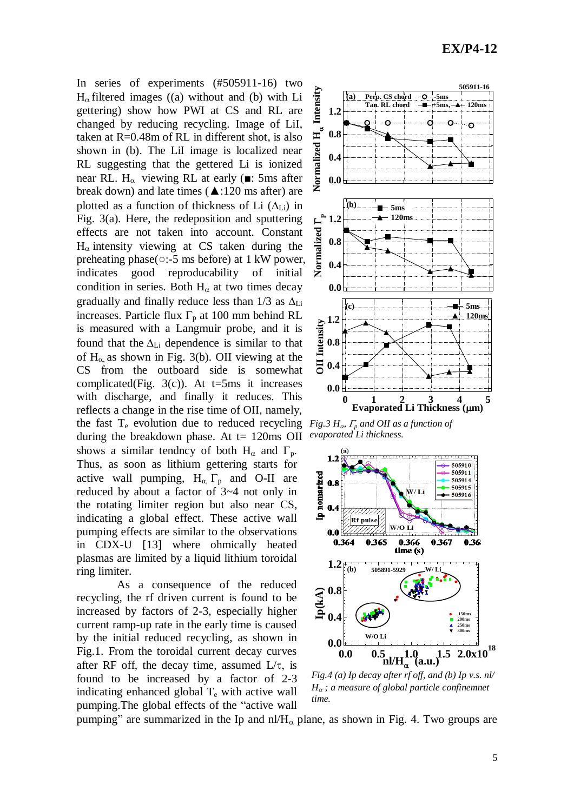In series of experiments (#505911-16) two  $H_{\alpha}$  filtered images ((a) without and (b) with Li gettering) show how PWI at CS and RL are changed by reducing recycling. Image of LiI, taken at R=0.48m of RL in different shot, is also shown in (b). The LiI image is localized near RL suggesting that the gettered Li is ionized near RL. H<sub> $\alpha$ </sub> viewing RL at early ( $\blacksquare$ : 5ms after break down) and late times ( $\triangle$ :120 ms after) are plotted as a function of thickness of Li  $(\Delta_{Li})$  in Fig. 3(a). Here, the redeposition and sputtering effects are not taken into account. Constant  $H_{\alpha}$  intensity viewing at CS taken during the preheating phase(○:-5 ms before) at 1 kW power, indicates good reproducability of initial condition in series. Both  $H_{\alpha}$  at two times decay gradually and finally reduce less than  $1/3$  as  $\Delta_{Li}$ increases. Particle flux  $\Gamma_p$  at 100 mm behind RL is measured with a Langmuir probe, and it is found that the  $\Delta_{Li}$  dependence is similar to that of  $H_{\alpha}$  as shown in Fig. 3(b). OII viewing at the CS from the outboard side is somewhat complicated(Fig. 3(c)). At  $t=5$ ms it increases with discharge, and finally it reduces. This reflects a change in the rise time of OII, namely, the fast  $T_e$  evolution due to reduced recycling during the breakdown phase. At  $t= 120$ ms OII shows a similar tendncy of both  $H_{\alpha}$  and  $\Gamma_{p}$ . Thus, as soon as lithium gettering starts for active wall pumping,  $H_{\alpha}$ ,  $\Gamma_{\text{p}}$  and O-II are reduced by about a factor of 3~4 not only in the rotating limiter region but also near CS, indicating a global effect. These active wall pumping effects are similar to the observations in CDX-U [13] where ohmically heated plasmas are limited by a liquid lithium toroidal ring limiter.

As a consequence of the reduced recycling, the rf driven current is found to be increased by factors of 2-3, especially higher current ramp-up rate in the early time is caused by the initial reduced recycling, as shown in Fig.1. From the toroidal current decay curves after RF off, the decay time, assumed  $L/\tau$ , is found to be increased by a factor of 2-3 indicating enhanced global  $T_e$  with active wall pumping.The global effects of the "active wall



*Fig.3 H<sub>a</sub>*,  $\Gamma$ <sub>*p*</sub> and OII as a function of *evaporated Li thickness.*



*Fig.4 (a) Ip decay after rf off, and (b) Ip v.s. nl/*  $H_{\alpha}$ ; a measure of global particle confinemnet *time.*

pumping" are summarized in the Ip and  $n/H_{\alpha}$  plane, as shown in Fig. 4. Two groups are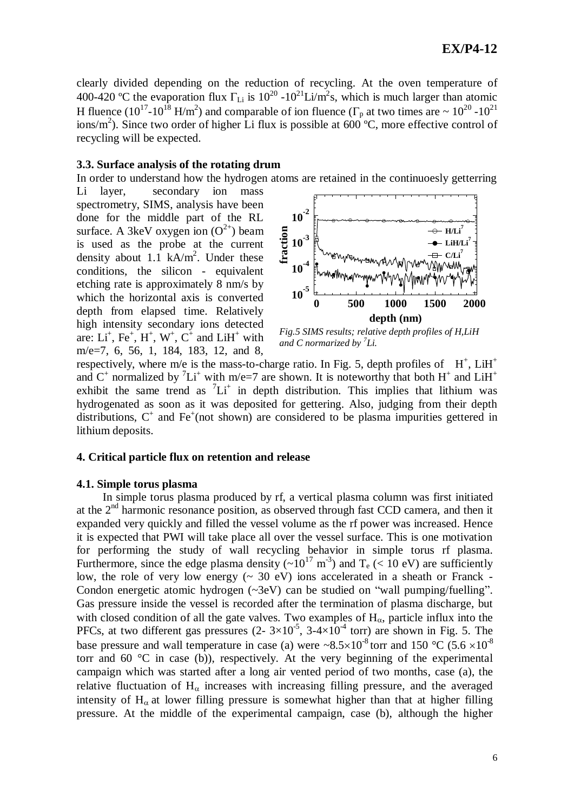clearly divided depending on the reduction of recycling. At the oven temperature of 400-420 °C the evaporation flux  $\Gamma_{Li}$  is 10<sup>20</sup> -10<sup>21</sup>Li/m<sup>2</sup>s, which is much larger than atomic H fluence (10<sup>17</sup>-10<sup>18</sup> H/m<sup>2</sup>) and comparable of ion fluence ( $\Gamma_p$  at two times are  $\sim 10^{20}$  -10<sup>21</sup> ions/m<sup>2</sup>). Since two order of higher Li flux is possible at 600 °C, more effective control of recycling will be expected.

#### **3.3. Surface analysis of the rotating drum**

In order to understand how the hydrogen atoms are retained in the continuoesly getterring

Li layer, secondary ion mass spectrometry, SIMS, analysis have been done for the middle part of the RL surface. A 3keV oxygen ion  $(O^{2+})$  beam is used as the probe at the current density about 1.1  $kA/m^2$ . Under these conditions, the silicon - equivalent etching rate is approximately 8 nm/s by which the horizontal axis is converted depth from elapsed time. Relatively high intensity secondary ions detected are:  $Li^+$ ,  $Fe^+$ ,  $H^+$ ,  $W^+$ ,  $C^+$  and  $LiH^+$  with m/e=7, 6, 56, 1, 184, 183, 12, and 8,



*and C normarized by <sup>7</sup> Li.*

respectively, where m/e is the mass-to-charge ratio. In Fig. 5, depth profiles of  $H^+$ , Li $H^+$ and  $C^+$  normalized by  ${}^{7}Li^+$  with m/e=7 are shown. It is noteworthy that both H<sup>+</sup> and LiH<sup>+</sup> exhibit the same trend as  ${}^{7}Li^{+}$  in depth distribution. This implies that lithium was hydrogenated as soon as it was deposited for gettering. Also, judging from their depth distributions,  $C^+$  and  $Fe^+$ (not shown) are considered to be plasma impurities gettered in lithium deposits.

### **4. Critical particle flux on retention and release**

#### **4.1. Simple torus plasma**

In simple torus plasma produced by rf, a vertical plasma column was first initiated at the  $2<sup>nd</sup>$  harmonic resonance position, as observed through fast CCD camera, and then it expanded very quickly and filled the vessel volume as the rf power was increased. Hence it is expected that PWI will take place all over the vessel surface. This is one motivation for performing the study of wall recycling behavior in simple torus rf plasma. Furthermore, since the edge plasma density  $({\sim}10^{17} \text{ m}^3)$  and T<sub>e</sub> (< 10 eV) are sufficiently low, the role of very low energy  $(~ 30~\text{eV})$  ions accelerated in a sheath or Franck -Condon energetic atomic hydrogen (~3eV) can be studied on "wall pumping/fuelling". Gas pressure inside the vessel is recorded after the termination of plasma discharge, but with closed condition of all the gate valves. Two examples of  $H_{\alpha}$ , particle influx into the PFCs, at two different gas pressures  $(2 - 3 \times 10^{-5}, 3 - 4 \times 10^{-4}$  torr) are shown in Fig. 5. The base pressure and wall temperature in case (a) were  $\sim 8.5 \times 10^{-8}$  torr and 150 °C (5.6  $\times 10^{-8}$ torr and 60  $\degree$ C in case (b)), respectively. At the very beginning of the experimental campaign which was started after a long air vented period of two months, case (a), the relative fluctuation of  $H_{\alpha}$  increases with increasing filling pressure, and the averaged intensity of  $H_{\alpha}$  at lower filling pressure is somewhat higher than that at higher filling pressure. At the middle of the experimental campaign, case (b), although the higher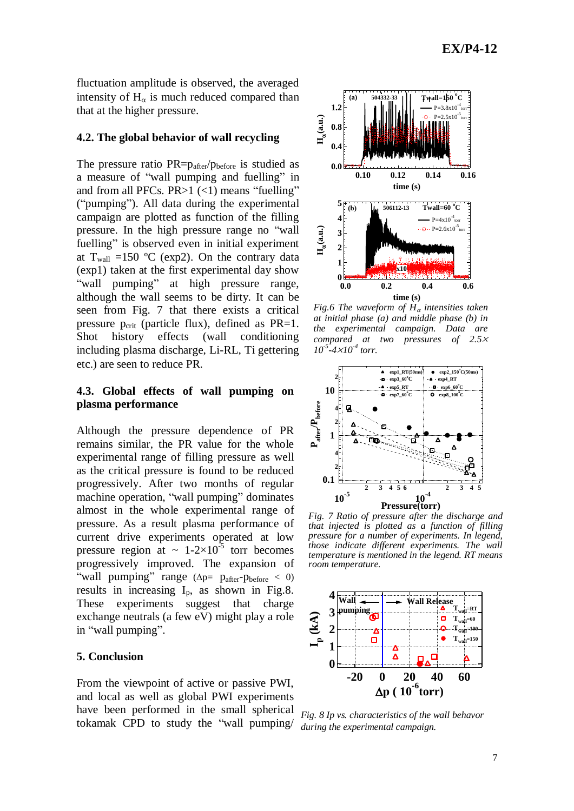fluctuation amplitude is observed, the averaged intensity of  $H_{\alpha}$  is much reduced compared than that at the higher pressure.

#### **4.2. The global behavior of wall recycling**

The pressure ratio  $PR = p_{after}/p_{before}$  is studied as a measure of "wall pumping and fuelling" in and from all PFCs.  $PR>1$  (<1) means "fuelling" ("pumping"). All data during the experimental campaign are plotted as function of the filling pressure. In the high pressure range no "wall fuelling" is observed even in initial experiment at  $T_{wall}$  =150 °C (exp2). On the contrary data (exp1) taken at the first experimental day show "wall pumping" at high pressure range, although the wall seems to be dirty. It can be seen from Fig. 7 that there exists a critical pressure  $p_{\text{crit}}$  (particle flux), defined as PR=1. Shot history effects (wall conditioning including plasma discharge, Li-RL, Ti gettering etc.) are seen to reduce PR.

## **4.3. Global effects of wall pumping on plasma performance**

Although the pressure dependence of PR remains similar, the PR value for the whole experimental range of filling pressure as well as the critical pressure is found to be reduced progressively. After two months of regular machine operation, "wall pumping" dominates almost in the whole experimental range of pressure. As a result plasma performance of current drive experiments operated at low pressure region at  $\sim 1-2\times10^{-5}$  torr becomes progressively improved. The expansion of "wall pumping" range  $(\Delta p= p_{after}-p_{before} < 0)$ results in increasing  $I_p$ , as shown in Fig.8. These experiments suggest that charge exchange neutrals (a few eV) might play a role in "wall pumping".

#### **5. Conclusion**

From the viewpoint of active or passive PWI, and local as well as global PWI experiments have been performed in the small spherical tokamak CPD to study the "wall pumping/



*Fig.6 The waveform of*  $H<sub>\alpha</sub>$  *intensities taken at initial phase (a) and middle phase (b) in the experimental campaign. Data are compared at two pressures of 2.5*  $10^{-5}$ -4× $10^{-4}$  torr.



*Fig. 7 Ratio of pressure after the discharge and that injected is plotted as a function of filling pressure for a number of experiments. In legend, those indicate different experiments. The wall temperature is mentioned in the legend. RT means room temperature.* 



*Fig. 8 Ip vs. characteristics of the wall behavor during the experimental campaign.*